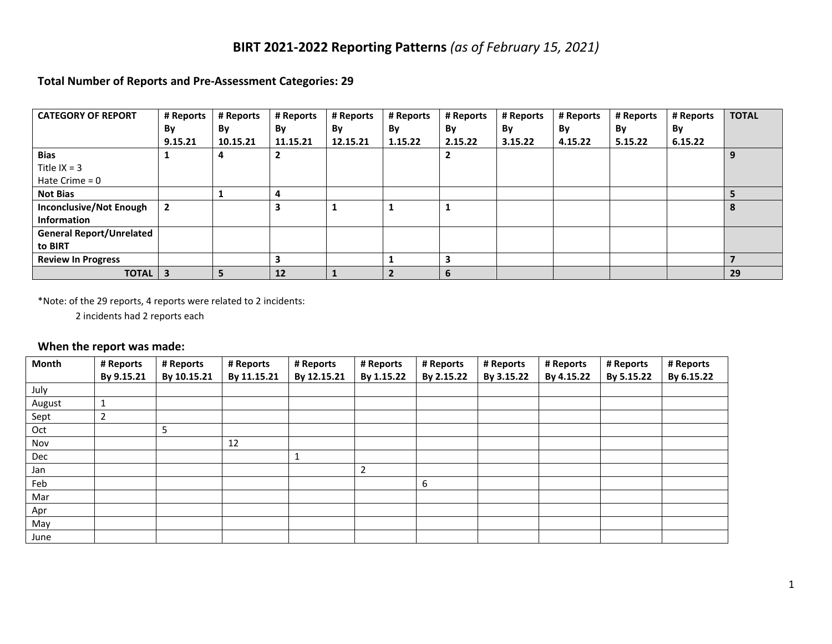### **BIRT 2021-2022 Reporting Patterns** *(as of February 15, 2021)*

#### **Total Number of Reports and Pre-Assessment Categories: 29**

| <b>CATEGORY OF REPORT</b>       | # Reports               | # Reports | # Reports | # Reports | # Reports | # Reports | # Reports | # Reports | # Reports | # Reports | <b>TOTAL</b> |
|---------------------------------|-------------------------|-----------|-----------|-----------|-----------|-----------|-----------|-----------|-----------|-----------|--------------|
|                                 | By                      | By        | By        | By        | By        | By        | By        | By        | By        | By        |              |
|                                 | 9.15.21                 | 10.15.21  | 11.15.21  | 12.15.21  | 1.15.22   | 2.15.22   | 3.15.22   | 4.15.22   | 5.15.22   | 6.15.22   |              |
| <b>Bias</b>                     |                         | 4         | ∍<br>∠    |           |           | 2         |           |           |           |           | 9            |
| Title $IX = 3$                  |                         |           |           |           |           |           |           |           |           |           |              |
| Hate Crime $= 0$                |                         |           |           |           |           |           |           |           |           |           |              |
| <b>Not Bias</b>                 |                         |           | 4         |           |           |           |           |           |           |           |              |
| <b>Inconclusive/Not Enough</b>  |                         |           | 3         |           |           |           |           |           |           |           | 8            |
| <b>Information</b>              |                         |           |           |           |           |           |           |           |           |           |              |
| <b>General Report/Unrelated</b> |                         |           |           |           |           |           |           |           |           |           |              |
| to BIRT                         |                         |           |           |           |           |           |           |           |           |           |              |
| <b>Review In Progress</b>       |                         |           | 3         |           |           | 3         |           |           |           |           |              |
| <b>TOTAL</b>                    | $\overline{\mathbf{3}}$ | 5         | 12        |           |           | 6         |           |           |           |           | 29           |

\*Note: of the 29 reports, 4 reports were related to 2 incidents:

2 incidents had 2 reports each

#### **When the report was made:**

| Month  | # Reports      | # Reports   | # Reports   | # Reports    | # Reports      | # Reports  | # Reports  | # Reports  | # Reports  | # Reports  |
|--------|----------------|-------------|-------------|--------------|----------------|------------|------------|------------|------------|------------|
|        | By 9.15.21     | By 10.15.21 | By 11.15.21 | By 12.15.21  | By 1.15.22     | By 2.15.22 | By 3.15.22 | By 4.15.22 | By 5.15.22 | By 6.15.22 |
| July   |                |             |             |              |                |            |            |            |            |            |
| August |                |             |             |              |                |            |            |            |            |            |
| Sept   | $\overline{2}$ |             |             |              |                |            |            |            |            |            |
| Oct    |                | 5           |             |              |                |            |            |            |            |            |
| Nov    |                |             | 12          |              |                |            |            |            |            |            |
| Dec    |                |             |             | $\mathbf{1}$ |                |            |            |            |            |            |
| Jan    |                |             |             |              | $\overline{2}$ |            |            |            |            |            |
| Feb    |                |             |             |              |                | 6          |            |            |            |            |
| Mar    |                |             |             |              |                |            |            |            |            |            |
| Apr    |                |             |             |              |                |            |            |            |            |            |
| May    |                |             |             |              |                |            |            |            |            |            |
| June   |                |             |             |              |                |            |            |            |            |            |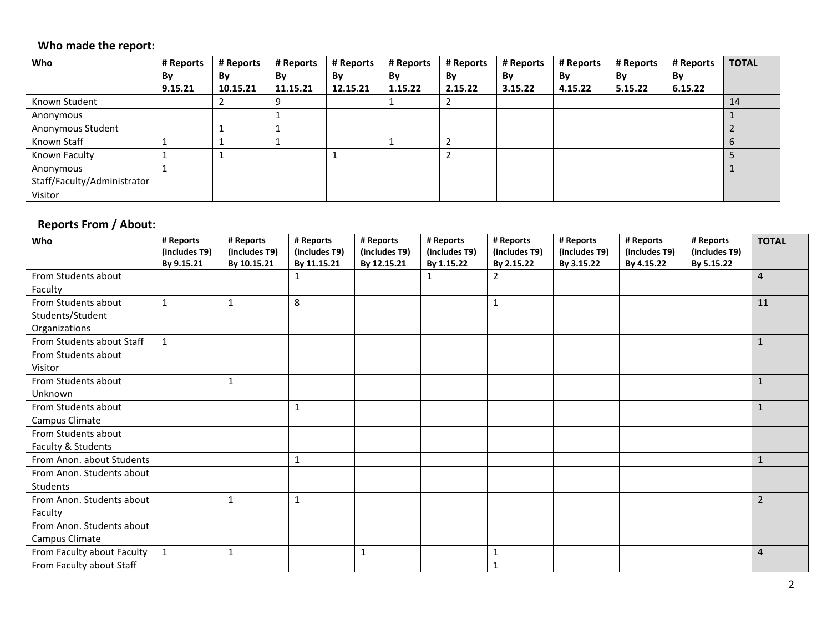### **Who made the report:**

| Who                         | # Reports | # Reports | # Reports | # Reports | # Reports | # Reports | # Reports | # Reports | # Reports | # Reports | <b>TOTAL</b> |
|-----------------------------|-----------|-----------|-----------|-----------|-----------|-----------|-----------|-----------|-----------|-----------|--------------|
|                             | By        | By        | By        | By        | By        | By        | By        | By        | By        | By        |              |
|                             | 9.15.21   | 10.15.21  | 11.15.21  | 12.15.21  | 1.15.22   | 2.15.22   | 3.15.22   | 4.15.22   | 5.15.22   | 6.15.22   |              |
| Known Student               |           |           |           |           |           |           |           |           |           |           | 14           |
| Anonymous                   |           |           |           |           |           |           |           |           |           |           |              |
| Anonymous Student           |           |           |           |           |           |           |           |           |           |           |              |
| Known Staff                 |           |           |           |           |           |           |           |           |           |           |              |
| Known Faculty               |           |           |           |           |           |           |           |           |           |           |              |
| Anonymous                   |           |           |           |           |           |           |           |           |           |           |              |
| Staff/Faculty/Administrator |           |           |           |           |           |           |           |           |           |           |              |
| Visitor                     |           |           |           |           |           |           |           |           |           |           |              |

# **Reports From / About:**

| Who                        | # Reports<br>(includes T9) | # Reports<br>(includes T9) | # Reports<br>(includes T9) | # Reports<br>(includes T9) | # Reports<br>(includes T9) | # Reports<br>(includes T9) | # Reports<br>(includes T9) | # Reports<br>(includes T9) | # Reports<br>(includes T9) | <b>TOTAL</b>   |
|----------------------------|----------------------------|----------------------------|----------------------------|----------------------------|----------------------------|----------------------------|----------------------------|----------------------------|----------------------------|----------------|
|                            | By 9.15.21                 | By 10.15.21                | By 11.15.21                | By 12.15.21                | By 1.15.22                 | By 2.15.22                 | By 3.15.22                 | By 4.15.22                 | By 5.15.22                 |                |
| From Students about        |                            |                            | ı                          |                            | 1                          | 2                          |                            |                            |                            | $\overline{4}$ |
| Faculty                    |                            |                            |                            |                            |                            |                            |                            |                            |                            |                |
| From Students about        | $\mathbf{1}$               | $\mathbf{1}$               | 8                          |                            |                            | 1                          |                            |                            |                            | 11             |
| Students/Student           |                            |                            |                            |                            |                            |                            |                            |                            |                            |                |
| Organizations              |                            |                            |                            |                            |                            |                            |                            |                            |                            |                |
| From Students about Staff  | $\mathbf{1}$               |                            |                            |                            |                            |                            |                            |                            |                            | $\mathbf{1}$   |
| From Students about        |                            |                            |                            |                            |                            |                            |                            |                            |                            |                |
| Visitor                    |                            |                            |                            |                            |                            |                            |                            |                            |                            |                |
| From Students about        |                            | $\mathbf{1}$               |                            |                            |                            |                            |                            |                            |                            | $\mathbf{1}$   |
| Unknown                    |                            |                            |                            |                            |                            |                            |                            |                            |                            |                |
| From Students about        |                            |                            | 1                          |                            |                            |                            |                            |                            |                            | $\mathbf{1}$   |
| Campus Climate             |                            |                            |                            |                            |                            |                            |                            |                            |                            |                |
| From Students about        |                            |                            |                            |                            |                            |                            |                            |                            |                            |                |
| Faculty & Students         |                            |                            |                            |                            |                            |                            |                            |                            |                            |                |
| From Anon. about Students  |                            |                            |                            |                            |                            |                            |                            |                            |                            | $\mathbf{1}$   |
| From Anon. Students about  |                            |                            |                            |                            |                            |                            |                            |                            |                            |                |
| Students                   |                            |                            |                            |                            |                            |                            |                            |                            |                            |                |
| From Anon. Students about  |                            | 1                          | 1                          |                            |                            |                            |                            |                            |                            | $\overline{2}$ |
| Faculty                    |                            |                            |                            |                            |                            |                            |                            |                            |                            |                |
| From Anon. Students about  |                            |                            |                            |                            |                            |                            |                            |                            |                            |                |
| Campus Climate             |                            |                            |                            |                            |                            |                            |                            |                            |                            |                |
| From Faculty about Faculty | $\mathbf{1}$               | 1                          |                            | $\mathbf{1}$               |                            | $\mathbf{1}$               |                            |                            |                            | $\overline{4}$ |
| From Faculty about Staff   |                            |                            |                            |                            |                            | $\mathbf{1}$               |                            |                            |                            |                |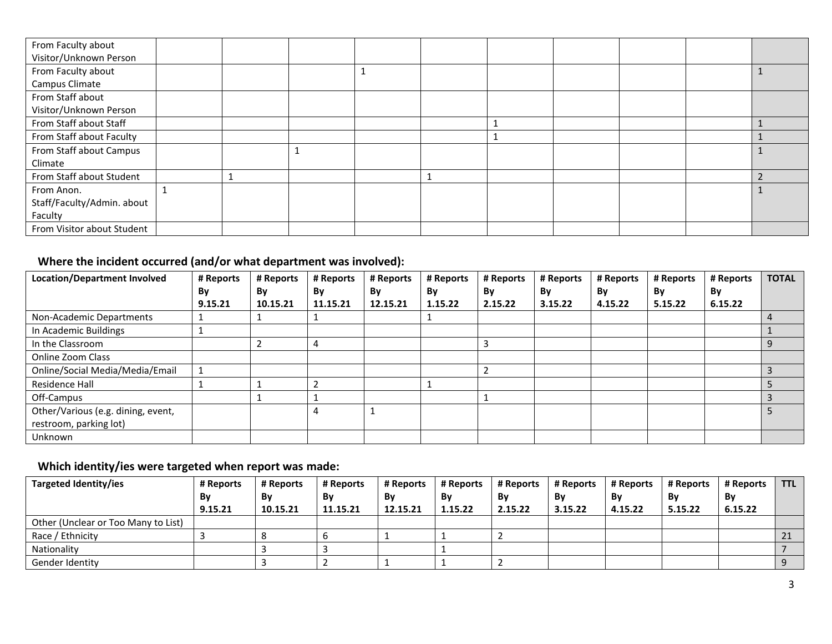| From Faculty about         |  |  |  |  |  |
|----------------------------|--|--|--|--|--|
| Visitor/Unknown Person     |  |  |  |  |  |
| From Faculty about         |  |  |  |  |  |
| Campus Climate             |  |  |  |  |  |
| From Staff about           |  |  |  |  |  |
| Visitor/Unknown Person     |  |  |  |  |  |
| From Staff about Staff     |  |  |  |  |  |
| From Staff about Faculty   |  |  |  |  |  |
| From Staff about Campus    |  |  |  |  |  |
| Climate                    |  |  |  |  |  |
| From Staff about Student   |  |  |  |  |  |
| From Anon.                 |  |  |  |  |  |
| Staff/Faculty/Admin. about |  |  |  |  |  |
| Faculty                    |  |  |  |  |  |
| From Visitor about Student |  |  |  |  |  |

# **Where the incident occurred (and/or what department was involved):**

| <b>Location/Department Involved</b> | # Reports | # Reports | # Reports | # Reports | # Reports | # Reports | # Reports | # Reports | # Reports | # Reports | <b>TOTAL</b> |
|-------------------------------------|-----------|-----------|-----------|-----------|-----------|-----------|-----------|-----------|-----------|-----------|--------------|
|                                     | By        | By        | By        | By        | By        | By        | By        | Bv        | By        | By        |              |
|                                     | 9.15.21   | 10.15.21  | 11.15.21  | 12.15.21  | 1.15.22   | 2.15.22   | 3.15.22   | 4.15.22   | 5.15.22   | 6.15.22   |              |
| Non-Academic Departments            |           |           |           |           |           |           |           |           |           |           |              |
| In Academic Buildings               |           |           |           |           |           |           |           |           |           |           |              |
| In the Classroom                    |           |           |           |           |           |           |           |           |           |           | 9            |
| Online Zoom Class                   |           |           |           |           |           |           |           |           |           |           |              |
| Online/Social Media/Media/Email     |           |           |           |           |           |           |           |           |           |           |              |
| Residence Hall                      |           |           |           |           |           |           |           |           |           |           |              |
| Off-Campus                          |           |           |           |           |           |           |           |           |           |           |              |
| Other/Various (e.g. dining, event,  |           |           | 4         |           |           |           |           |           |           |           |              |
| restroom, parking lot)              |           |           |           |           |           |           |           |           |           |           |              |
| Unknown                             |           |           |           |           |           |           |           |           |           |           |              |

# **Which identity/ies were targeted when report was made:**

| Targeted Identity/ies               | # Reports | # Reports | # Reports | # Reports | # Reports | # Reports | # Reports | # Reports | # Reports | # Reports | <b>TTL</b> |
|-------------------------------------|-----------|-----------|-----------|-----------|-----------|-----------|-----------|-----------|-----------|-----------|------------|
|                                     | Bv        | Bv        | Bv        | By        | Βv        | By        | Bv        | By        | Bv        | Bν        |            |
|                                     | 9.15.21   | 10.15.21  | 11.15.21  | 12.15.21  | 1.15.22   | 2.15.22   | 3.15.22   | 4.15.22   | 5.15.22   | 6.15.22   |            |
| Other (Unclear or Too Many to List) |           |           |           |           |           |           |           |           |           |           |            |
| Race / Ethnicity                    |           |           | u         |           |           |           |           |           |           |           | ᅀ          |
| Nationality                         |           |           |           |           |           |           |           |           |           |           |            |
| Gender Identity                     |           |           |           |           |           |           |           |           |           |           |            |